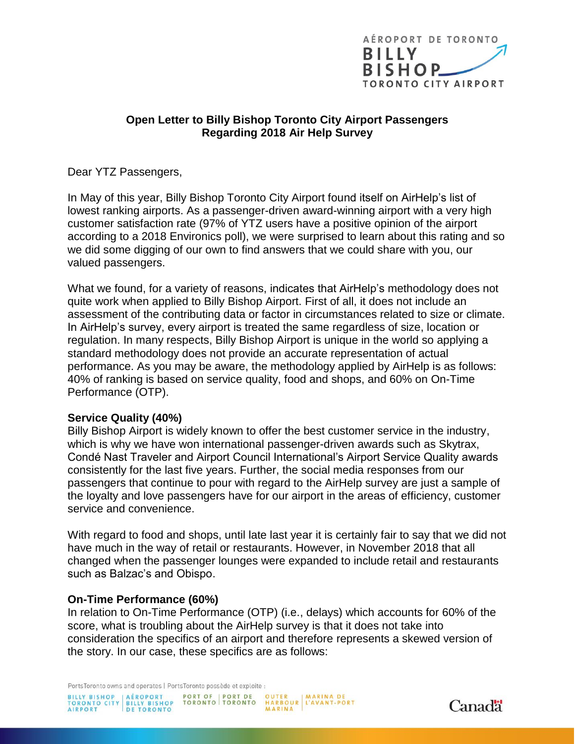

## **Open Letter to Billy Bishop Toronto City Airport Passengers Regarding 2018 Air Help Survey**

Dear YTZ Passengers,

In May of this year, Billy Bishop Toronto City Airport found itself on AirHelp's list of lowest ranking airports. As a passenger-driven award-winning airport with a very high customer satisfaction rate (97% of YTZ users have a positive opinion of the airport according to a 2018 Environics poll), we were surprised to learn about this rating and so we did some digging of our own to find answers that we could share with you, our valued passengers.

What we found, for a variety of reasons, indicates that AirHelp's methodology does not quite work when applied to Billy Bishop Airport. First of all, it does not include an assessment of the contributing data or factor in circumstances related to size or climate. In AirHelp's survey, every airport is treated the same regardless of size, location or regulation. In many respects, Billy Bishop Airport is unique in the world so applying a standard methodology does not provide an accurate representation of actual performance. As you may be aware, the methodology applied by AirHelp is as follows: 40% of ranking is based on service quality, food and shops, and 60% on On-Time Performance (OTP).

## **Service Quality (40%)**

Billy Bishop Airport is widely known to offer the best customer service in the industry, which is why we have won international passenger-driven awards such as Skytrax, Condé Nast Traveler and Airport Council International's Airport Service Quality awards consistently for the last five years. Further, the social media responses from our passengers that continue to pour with regard to the AirHelp survey are just a sample of the loyalty and love passengers have for our airport in the areas of efficiency, customer service and convenience.

With regard to food and shops, until late last year it is certainly fair to say that we did not have much in the way of retail or restaurants. However, in November 2018 that all changed when the passenger lounges were expanded to include retail and restaurants such as Balzac's and Obispo.

## **On-Time Performance (60%)**

In relation to On-Time Performance (OTP) (i.e., delays) which accounts for 60% of the score, what is troubling about the AirHelp survey is that it does not take into consideration the specifics of an airport and therefore represents a skewed version of the story. In our case, these specifics are as follows: